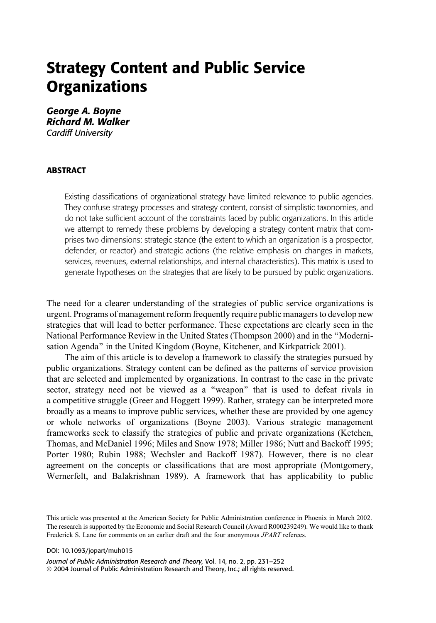# Strategy Content and Public Service **Organizations**

George A. Boyne Richard M. Walker Cardiff University

#### ABSTRACT

Existing classifications of organizational strategy have limited relevance to public agencies. They confuse strategy processes and strategy content, consist of simplistic taxonomies, and do not take sufficient account of the constraints faced by public organizations. In this article we attempt to remedy these problems by developing a strategy content matrix that comprises two dimensions: strategic stance (the extent to which an organization is a prospector, defender, or reactor) and strategic actions (the relative emphasis on changes in markets, services, revenues, external relationships, and internal characteristics). This matrix is used to generate hypotheses on the strategies that are likely to be pursued by public organizations.

The need for a clearer understanding of the strategies of public service organizations is urgent. Programs of management reform frequently require public managers to develop new strategies that will lead to better performance. These expectations are clearly seen in the National Performance Review in the United States (Thompson 2000) and in the ''Modernisation Agenda'' in the United Kingdom (Boyne, Kitchener, and Kirkpatrick 2001).

The aim of this article is to develop a framework to classify the strategies pursued by public organizations. Strategy content can be defined as the patterns of service provision that are selected and implemented by organizations. In contrast to the case in the private sector, strategy need not be viewed as a ''weapon'' that is used to defeat rivals in a competitive struggle (Greer and Hoggett 1999). Rather, strategy can be interpreted more broadly as a means to improve public services, whether these are provided by one agency or whole networks of organizations (Boyne 2003). Various strategic management frameworks seek to classify the strategies of public and private organizations (Ketchen, Thomas, and McDaniel 1996; Miles and Snow 1978; Miller 1986; Nutt and Backoff 1995; Porter 1980; Rubin 1988; Wechsler and Backoff 1987). However, there is no clear agreement on the concepts or classifications that are most appropriate (Montgomery, Wernerfelt, and Balakrishnan 1989). A framework that has applicability to public

#### DOI: 10.1093/jopart/muh015

Journal of Public Administration Research and Theory, Vol. 14, no. 2, pp. 231–252 *ª* 2004 Journal of Public Administration Research and Theory, Inc.; all rights reserved.

This article was presented at the American Society for Public Administration conference in Phoenix in March 2002. The research is supported by the Economic and Social Research Council (Award R000239249). We would like to thank Frederick S. Lane for comments on an earlier draft and the four anonymous *JPART* referees.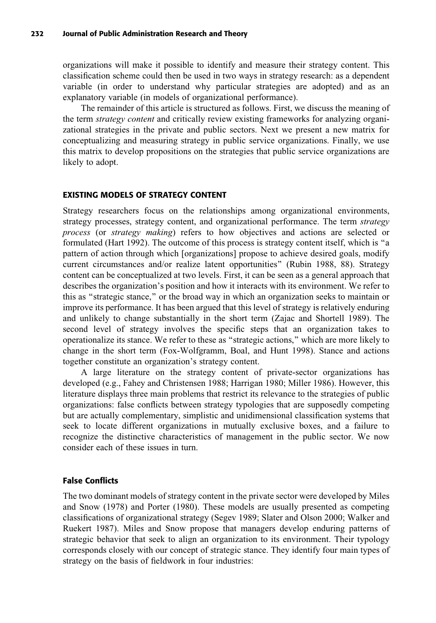organizations will make it possible to identify and measure their strategy content. This classification scheme could then be used in two ways in strategy research: as a dependent variable (in order to understand why particular strategies are adopted) and as an explanatory variable (in models of organizational performance).

The remainder of this article is structured as follows. First, we discuss the meaning of the term *strategy content* and critically review existing frameworks for analyzing organizational strategies in the private and public sectors. Next we present a new matrix for conceptualizing and measuring strategy in public service organizations. Finally, we use this matrix to develop propositions on the strategies that public service organizations are likely to adopt.

#### EXISTING MODELS OF STRATEGY CONTENT

Strategy researchers focus on the relationships among organizational environments, strategy processes, strategy content, and organizational performance. The term strategy process (or strategy making) refers to how objectives and actions are selected or formulated (Hart 1992). The outcome of this process is strategy content itself, which is ''a pattern of action through which [organizations] propose to achieve desired goals, modify current circumstances and/or realize latent opportunities'' (Rubin 1988, 88). Strategy content can be conceptualized at two levels. First, it can be seen as a general approach that describes the organization's position and how it interacts with its environment. We refer to this as ''strategic stance,'' or the broad way in which an organization seeks to maintain or improve its performance. It has been argued that this level of strategy is relatively enduring and unlikely to change substantially in the short term (Zajac and Shortell 1989). The second level of strategy involves the specific steps that an organization takes to operationalize its stance. We refer to these as ''strategic actions,'' which are more likely to change in the short term (Fox-Wolfgramm, Boal, and Hunt 1998). Stance and actions together constitute an organization's strategy content.

A large literature on the strategy content of private-sector organizations has developed (e.g., Fahey and Christensen 1988; Harrigan 1980; Miller 1986). However, this literature displays three main problems that restrict its relevance to the strategies of public organizations: false conflicts between strategy typologies that are supposedly competing but are actually complementary, simplistic and unidimensional classification systems that seek to locate different organizations in mutually exclusive boxes, and a failure to recognize the distinctive characteristics of management in the public sector. We now consider each of these issues in turn.

# False Conflicts

The two dominant models of strategy content in the private sector were developed by Miles and Snow (1978) and Porter (1980). These models are usually presented as competing classifications of organizational strategy (Segev 1989; Slater and Olson 2000; Walker and Ruekert 1987). Miles and Snow propose that managers develop enduring patterns of strategic behavior that seek to align an organization to its environment. Their typology corresponds closely with our concept of strategic stance. They identify four main types of strategy on the basis of fieldwork in four industries: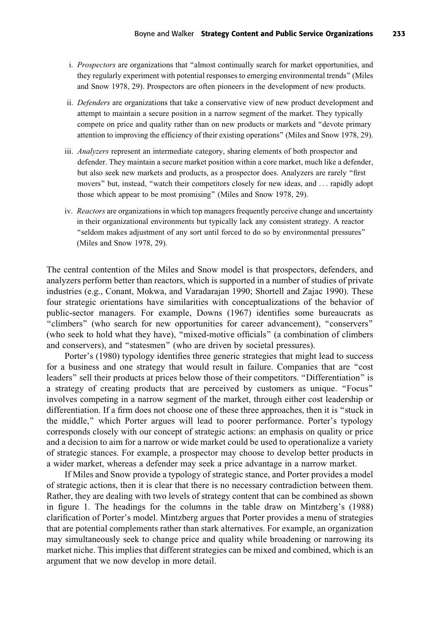- i. Prospectors are organizations that ''almost continually search for market opportunities, and they regularly experiment with potential responses to emerging environmental trends'' (Miles and Snow 1978, 29). Prospectors are often pioneers in the development of new products.
- ii. Defenders are organizations that take a conservative view of new product development and attempt to maintain a secure position in a narrow segment of the market. They typically compete on price and quality rather than on new products or markets and ''devote primary attention to improving the efficiency of their existing operations'' (Miles and Snow 1978, 29).
- iii. Analyzers represent an intermediate category, sharing elements of both prospector and defender. They maintain a secure market position within a core market, much like a defender, but also seek new markets and products, as a prospector does. Analyzers are rarely ''first movers'' but, instead, ''watch their competitors closely for new ideas, and ... rapidly adopt those which appear to be most promising'' (Miles and Snow 1978, 29).
- iv. Reactors are organizations in which top managers frequently perceive change and uncertainty in their organizational environments but typically lack any consistent strategy. A reactor ''seldom makes adjustment of any sort until forced to do so by environmental pressures'' (Miles and Snow 1978, 29).

The central contention of the Miles and Snow model is that prospectors, defenders, and analyzers perform better than reactors, which is supported in a number of studies of private industries (e.g., Conant, Mokwa, and Varadarajan 1990; Shortell and Zajac 1990). These four strategic orientations have similarities with conceptualizations of the behavior of public-sector managers. For example, Downs (1967) identifies some bureaucrats as ''climbers'' (who search for new opportunities for career advancement), ''conservers'' (who seek to hold what they have), ''mixed-motive officials'' (a combination of climbers and conservers), and ''statesmen'' (who are driven by societal pressures).

Porter's (1980) typology identifies three generic strategies that might lead to success for a business and one strategy that would result in failure. Companies that are ''cost leaders'' sell their products at prices below those of their competitors. ''Differentiation'' is a strategy of creating products that are perceived by customers as unique. ''Focus'' involves competing in a narrow segment of the market, through either cost leadership or differentiation. If a firm does not choose one of these three approaches, then it is "stuck in the middle,'' which Porter argues will lead to poorer performance. Porter's typology corresponds closely with our concept of strategic actions: an emphasis on quality or price and a decision to aim for a narrow or wide market could be used to operationalize a variety of strategic stances. For example, a prospector may choose to develop better products in a wider market, whereas a defender may seek a price advantage in a narrow market.

If Miles and Snow provide a typology of strategic stance, and Porter provides a model of strategic actions, then it is clear that there is no necessary contradiction between them. Rather, they are dealing with two levels of strategy content that can be combined as shown in figure 1. The headings for the columns in the table draw on Mintzberg's (1988) clarification of Porter's model. Mintzberg argues that Porter provides a menu of strategies that are potential complements rather than stark alternatives. For example, an organization may simultaneously seek to change price and quality while broadening or narrowing its market niche. This implies that different strategies can be mixed and combined, which is an argument that we now develop in more detail.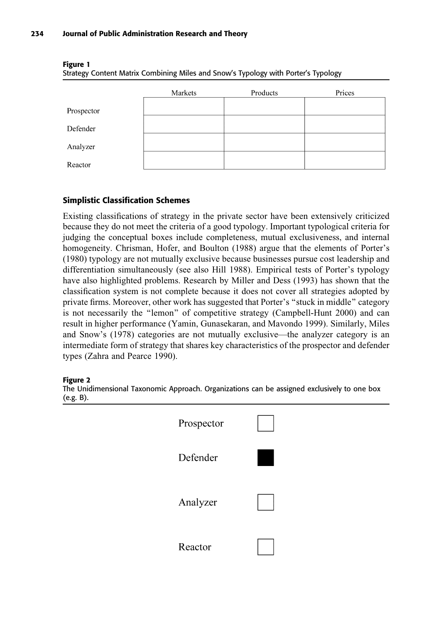|            | Markets | Products | Prices |
|------------|---------|----------|--------|
| Prospector |         |          |        |
| Defender   |         |          |        |
| Analyzer   |         |          |        |
| Reactor    |         |          |        |

Figure 1 Strategy Content Matrix Combining Miles and Snow's Typology with Porter's Typology

# Simplistic Classification Schemes

Existing classifications of strategy in the private sector have been extensively criticized because they do not meet the criteria of a good typology. Important typological criteria for judging the conceptual boxes include completeness, mutual exclusiveness, and internal homogeneity. Chrisman, Hofer, and Boulton (1988) argue that the elements of Porter's (1980) typology are not mutually exclusive because businesses pursue cost leadership and differentiation simultaneously (see also Hill 1988). Empirical tests of Porter's typology have also highlighted problems. Research by Miller and Dess (1993) has shown that the classification system is not complete because it does not cover all strategies adopted by private firms. Moreover, other work has suggested that Porter's ''stuck in middle'' category is not necessarily the ''lemon'' of competitive strategy (Campbell-Hunt 2000) and can result in higher performance (Yamin, Gunasekaran, and Mavondo 1999). Similarly, Miles and Snow's (1978) categories are not mutually exclusive—the analyzer category is an intermediate form of strategy that shares key characteristics of the prospector and defender types (Zahra and Pearce 1990).

#### Figure 2

The Unidimensional Taxonomic Approach. Organizations can be assigned exclusively to one box (e.g. B).

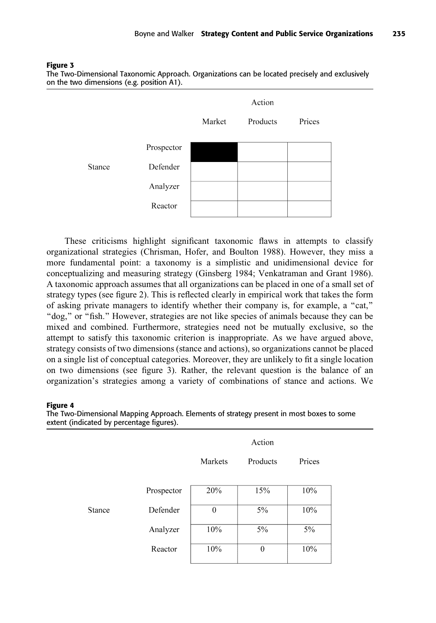# Action Products Prices Market Prospector Stance Defender Analyzer Reactor

These criticisms highlight significant taxonomic flaws in attempts to classify organizational strategies (Chrisman, Hofer, and Boulton 1988). However, they miss a more fundamental point: a taxonomy is a simplistic and unidimensional device for conceptualizing and measuring strategy (Ginsberg 1984; Venkatraman and Grant 1986). A taxonomic approach assumes that all organizations can be placed in one of a small set of strategy types (see figure 2). This is reflected clearly in empirical work that takes the form of asking private managers to identify whether their company is, for example, a ''cat,'' ''dog,'' or ''fish.'' However, strategies are not like species of animals because they can be mixed and combined. Furthermore, strategies need not be mutually exclusive, so the attempt to satisfy this taxonomic criterion is inappropriate. As we have argued above, strategy consists of two dimensions (stance and actions), so organizations cannot be placed on a single list of conceptual categories. Moreover, they are unlikely to fit a single location on two dimensions (see figure 3). Rather, the relevant question is the balance of an organization's strategies among a variety of combinations of stance and actions. We

#### Figure 4

The Two-Dimensional Mapping Approach. Elements of strategy present in most boxes to some extent (indicated by percentage figures).

|            | Action         |                |        |
|------------|----------------|----------------|--------|
|            | Markets        | Products       | Prices |
| Prospector | 20%            | 15%            | 10%    |
| Defender   | $\overline{0}$ | $5\%$          | 10%    |
| Analyzer   | 10%            | 5%             | $5\%$  |
| Reactor    | 10%            | $\overline{0}$ | 10%    |
|            |                |                |        |

#### Figure 3

The Two-Dimensional Taxonomic Approach. Organizations can be located precisely and exclusively on the two dimensions (e.g. position A1).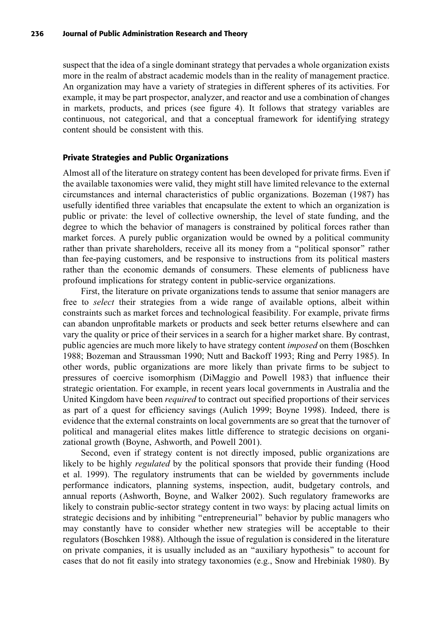suspect that the idea of a single dominant strategy that pervades a whole organization exists more in the realm of abstract academic models than in the reality of management practice. An organization may have a variety of strategies in different spheres of its activities. For example, it may be part prospector, analyzer, and reactor and use a combination of changes in markets, products, and prices (see figure 4). It follows that strategy variables are continuous, not categorical, and that a conceptual framework for identifying strategy content should be consistent with this.

# Private Strategies and Public Organizations

Almost all of the literature on strategy content has been developed for private firms. Even if the available taxonomies were valid, they might still have limited relevance to the external circumstances and internal characteristics of public organizations. Bozeman (1987) has usefully identified three variables that encapsulate the extent to which an organization is public or private: the level of collective ownership, the level of state funding, and the degree to which the behavior of managers is constrained by political forces rather than market forces. A purely public organization would be owned by a political community rather than private shareholders, receive all its money from a ''political sponsor'' rather than fee-paying customers, and be responsive to instructions from its political masters rather than the economic demands of consumers. These elements of publicness have profound implications for strategy content in public-service organizations.

First, the literature on private organizations tends to assume that senior managers are free to select their strategies from a wide range of available options, albeit within constraints such as market forces and technological feasibility. For example, private firms can abandon unprofitable markets or products and seek better returns elsewhere and can vary the quality or price of their services in a search for a higher market share. By contrast, public agencies are much more likely to have strategy content *imposed* on them (Boschken 1988; Bozeman and Straussman 1990; Nutt and Backoff 1993; Ring and Perry 1985). In other words, public organizations are more likely than private firms to be subject to pressures of coercive isomorphism (DiMaggio and Powell 1983) that influence their strategic orientation. For example, in recent years local governments in Australia and the United Kingdom have been required to contract out specified proportions of their services as part of a quest for efficiency savings (Aulich 1999; Boyne 1998). Indeed, there is evidence that the external constraints on local governments are so great that the turnover of political and managerial elites makes little difference to strategic decisions on organizational growth (Boyne, Ashworth, and Powell 2001).

Second, even if strategy content is not directly imposed, public organizations are likely to be highly *regulated* by the political sponsors that provide their funding (Hood et al. 1999). The regulatory instruments that can be wielded by governments include performance indicators, planning systems, inspection, audit, budgetary controls, and annual reports (Ashworth, Boyne, and Walker 2002). Such regulatory frameworks are likely to constrain public-sector strategy content in two ways: by placing actual limits on strategic decisions and by inhibiting "entrepreneurial" behavior by public managers who may constantly have to consider whether new strategies will be acceptable to their regulators (Boschken 1988). Although the issue of regulation is considered in the literature on private companies, it is usually included as an ''auxiliary hypothesis'' to account for cases that do not fit easily into strategy taxonomies (e.g., Snow and Hrebiniak 1980). By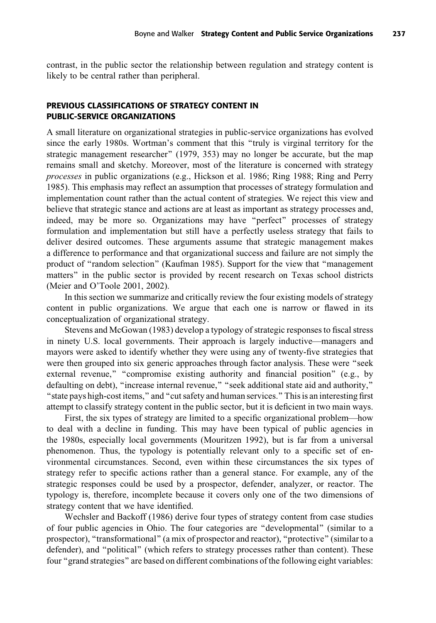contrast, in the public sector the relationship between regulation and strategy content is likely to be central rather than peripheral.

# PREVIOUS CLASSIFICATIONS OF STRATEGY CONTENT IN PUBLIC-SERVICE ORGANIZATIONS

A small literature on organizational strategies in public-service organizations has evolved since the early 1980s. Wortman's comment that this ''truly is virginal territory for the strategic management researcher'' (1979, 353) may no longer be accurate, but the map remains small and sketchy. Moreover, most of the literature is concerned with strategy processes in public organizations (e.g., Hickson et al. 1986; Ring 1988; Ring and Perry 1985). This emphasis may reflect an assumption that processes of strategy formulation and implementation count rather than the actual content of strategies. We reject this view and believe that strategic stance and actions are at least as important as strategy processes and, indeed, may be more so. Organizations may have ''perfect'' processes of strategy formulation and implementation but still have a perfectly useless strategy that fails to deliver desired outcomes. These arguments assume that strategic management makes a difference to performance and that organizational success and failure are not simply the product of ''random selection'' (Kaufman 1985). Support for the view that ''management matters'' in the public sector is provided by recent research on Texas school districts (Meier and O'Toole 2001, 2002).

In this section we summarize and critically review the four existing models of strategy content in public organizations. We argue that each one is narrow or flawed in its conceptualization of organizational strategy.

Stevens and McGowan (1983) develop a typology of strategic responses to fiscal stress in ninety U.S. local governments. Their approach is largely inductive—managers and mayors were asked to identify whether they were using any of twenty-five strategies that were then grouped into six generic approaches through factor analysis. These were ''seek external revenue," "compromise existing authority and financial position" (e.g., by defaulting on debt), "increase internal revenue," "seek additional state aid and authority," ''state pays high-cost items,'' and ''cut safety and human services.'' This is an interesting first attempt to classify strategy content in the public sector, but it is deficient in two main ways.

First, the six types of strategy are limited to a specific organizational problem—how to deal with a decline in funding. This may have been typical of public agencies in the 1980s, especially local governments (Mouritzen 1992), but is far from a universal phenomenon. Thus, the typology is potentially relevant only to a specific set of environmental circumstances. Second, even within these circumstances the six types of strategy refer to specific actions rather than a general stance. For example, any of the strategic responses could be used by a prospector, defender, analyzer, or reactor. The typology is, therefore, incomplete because it covers only one of the two dimensions of strategy content that we have identified.

Wechsler and Backoff (1986) derive four types of strategy content from case studies of four public agencies in Ohio. The four categories are ''developmental'' (similar to a prospector), ''transformational'' (a mix of prospector and reactor), ''protective'' (similar to a defender), and ''political'' (which refers to strategy processes rather than content). These four ''grand strategies'' are based on different combinations of the following eight variables: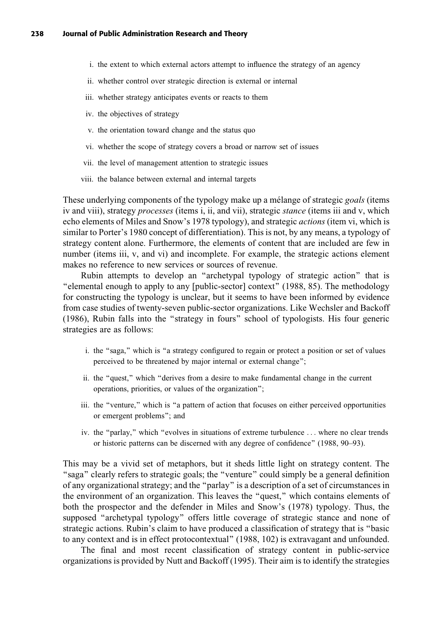- i. the extent to which external actors attempt to influence the strategy of an agency
- ii. whether control over strategic direction is external or internal
- iii. whether strategy anticipates events or reacts to them
- iv. the objectives of strategy
- v. the orientation toward change and the status quo
- vi. whether the scope of strategy covers a broad or narrow set of issues
- vii. the level of management attention to strategic issues
- viii. the balance between external and internal targets

These underlying components of the typology make up a mélange of strategic *goals* (items iv and viii), strategy *processes* (items i, ii, and vii), strategic *stance* (items iii and v, which echo elements of Miles and Snow's 1978 typology), and strategic actions (item vi, which is similar to Porter's 1980 concept of differentiation). This is not, by any means, a typology of strategy content alone. Furthermore, the elements of content that are included are few in number (items iii, v, and vi) and incomplete. For example, the strategic actions element makes no reference to new services or sources of revenue.

Rubin attempts to develop an ''archetypal typology of strategic action'' that is "elemental enough to apply to any [public-sector] context" (1988, 85). The methodology for constructing the typology is unclear, but it seems to have been informed by evidence from case studies of twenty-seven public-sector organizations. Like Wechsler and Backoff (1986), Rubin falls into the ''strategy in fours'' school of typologists. His four generic strategies are as follows:

- i. the "saga," which is "a strategy configured to regain or protect a position or set of values perceived to be threatened by major internal or external change'';
- ii. the ''quest,'' which ''derives from a desire to make fundamental change in the current operations, priorities, or values of the organization'';
- iii. the ''venture,'' which is ''a pattern of action that focuses on either perceived opportunities or emergent problems''; and
- iv. the "parlay," which "evolves in situations of extreme turbulence ... where no clear trends or historic patterns can be discerned with any degree of confidence'' (1988, 90–93).

This may be a vivid set of metaphors, but it sheds little light on strategy content. The ''saga'' clearly refers to strategic goals; the ''venture'' could simply be a general definition of any organizational strategy; and the ''parlay'' is a description of a set of circumstances in the environment of an organization. This leaves the ''quest,'' which contains elements of both the prospector and the defender in Miles and Snow's (1978) typology. Thus, the supposed ''archetypal typology'' offers little coverage of strategic stance and none of strategic actions. Rubin's claim to have produced a classification of strategy that is ''basic to any context and is in effect protocontextual'' (1988, 102) is extravagant and unfounded.

The final and most recent classification of strategy content in public-service organizations is provided by Nutt and Backoff (1995). Their aim is to identify the strategies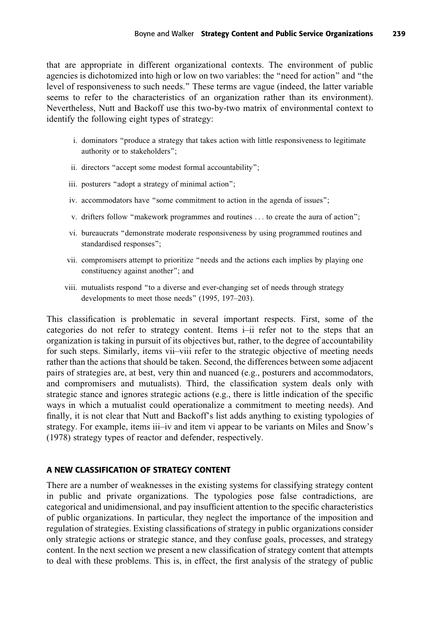that are appropriate in different organizational contexts. The environment of public agencies is dichotomized into high or low on two variables: the ''need for action'' and ''the level of responsiveness to such needs.'' These terms are vague (indeed, the latter variable seems to refer to the characteristics of an organization rather than its environment). Nevertheless, Nutt and Backoff use this two-by-two matrix of environmental context to identify the following eight types of strategy:

- i. dominators ''produce a strategy that takes action with little responsiveness to legitimate authority or to stakeholders'';
- ii. directors ''accept some modest formal accountability'';
- iii. posturers ''adopt a strategy of minimal action'';
- iv. accommodators have ''some commitment to action in the agenda of issues'';
- v. drifters follow ''makework programmes and routines ... to create the aura of action'';
- vi. bureaucrats ''demonstrate moderate responsiveness by using programmed routines and standardised responses'';
- vii. compromisers attempt to prioritize ''needs and the actions each implies by playing one constituency against another''; and
- viii. mutualists respond ''to a diverse and ever-changing set of needs through strategy developments to meet those needs'' (1995, 197–203).

This classification is problematic in several important respects. First, some of the categories do not refer to strategy content. Items i–ii refer not to the steps that an organization is taking in pursuit of its objectives but, rather, to the degree of accountability for such steps. Similarly, items vii–viii refer to the strategic objective of meeting needs rather than the actions that should be taken. Second, the differences between some adjacent pairs of strategies are, at best, very thin and nuanced (e.g., posturers and accommodators, and compromisers and mutualists). Third, the classification system deals only with strategic stance and ignores strategic actions (e.g., there is little indication of the specific ways in which a mutualist could operationalize a commitment to meeting needs). And finally, it is not clear that Nutt and Backoff's list adds anything to existing typologies of strategy. For example, items iii–iv and item vi appear to be variants on Miles and Snow's (1978) strategy types of reactor and defender, respectively.

# A NEW CLASSIFICATION OF STRATEGY CONTENT

There are a number of weaknesses in the existing systems for classifying strategy content in public and private organizations. The typologies pose false contradictions, are categorical and unidimensional, and pay insufficient attention to the specific characteristics of public organizations. In particular, they neglect the importance of the imposition and regulation of strategies. Existing classifications of strategy in public organizations consider only strategic actions or strategic stance, and they confuse goals, processes, and strategy content. In the next section we present a new classification of strategy content that attempts to deal with these problems. This is, in effect, the first analysis of the strategy of public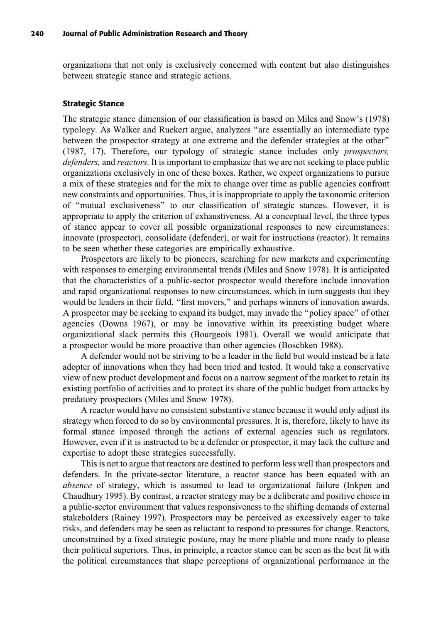organizations that not only is exclusively concerned with content but also distinguishes between strategic stance and strategic actions.

#### Strategic Stance

The strategic stance dimension of our classification is based on Miles and Snow's (1978) typology. As Walker and Ruekert argue, analyzers ''are essentially an intermediate type between the prospector strategy at one extreme and the defender strategies at the other'' (1987, 17). Therefore, our typology of strategic stance includes only prospectors, defenders, and reactors. It is important to emphasize that we are not seeking to place public organizations exclusively in one of these boxes. Rather, we expect organizations to pursue a mix of these strategies and for the mix to change over time as public agencies confront new constraints and opportunities. Thus, it is inappropriate to apply the taxonomic criterion of ''mutual exclusiveness'' to our classification of strategic stances. However, it is appropriate to apply the criterion of exhaustiveness. At a conceptual level, the three types of stance appear to cover all possible organizational responses to new circumstances: innovate (prospector), consolidate (defender), or wait for instructions (reactor). It remains to be seen whether these categories are empirically exhaustive.

Prospectors are likely to be pioneers, searching for new markets and experimenting with responses to emerging environmental trends (Miles and Snow 1978). It is anticipated that the characteristics of a public-sector prospector would therefore include innovation and rapid organizational responses to new circumstances, which in turn suggests that they would be leaders in their field, "first movers," and perhaps winners of innovation awards. A prospector may be seeking to expand its budget, may invade the ''policy space'' of other agencies (Downs 1967), or may be innovative within its preexisting budget where organizational slack permits this (Bourgeois 1981). Overall we would anticipate that a prospector would be more proactive than other agencies (Boschken 1988).

A defender would not be striving to be a leader in the field but would instead be a late adopter of innovations when they had been tried and tested. It would take a conservative view of new product development and focus on a narrow segment of the market to retain its existing portfolio of activities and to protect its share of the public budget from attacks by predatory prospectors (Miles and Snow 1978).

A reactor would have no consistent substantive stance because it would only adjust its strategy when forced to do so by environmental pressures. It is, therefore, likely to have its formal stance imposed through the actions of external agencies such as regulators. However, even if it is instructed to be a defender or prospector, it may lack the culture and expertise to adopt these strategies successfully.

This is not to argue that reactors are destined to perform less well than prospectors and defenders. In the private-sector literature, a reactor stance has been equated with an absence of strategy, which is assumed to lead to organizational failure (Inkpen and Chaudhury 1995). By contrast, a reactor strategy may be a deliberate and positive choice in a public-sector environment that values responsiveness to the shifting demands of external stakeholders (Rainey 1997). Prospectors may be perceived as excessively eager to take risks, and defenders may be seen as reluctant to respond to pressures for change. Reactors, unconstrained by a fixed strategic posture, may be more pliable and more ready to please their political superiors. Thus, in principle, a reactor stance can be seen as the best fit with the political circumstances that shape perceptions of organizational performance in the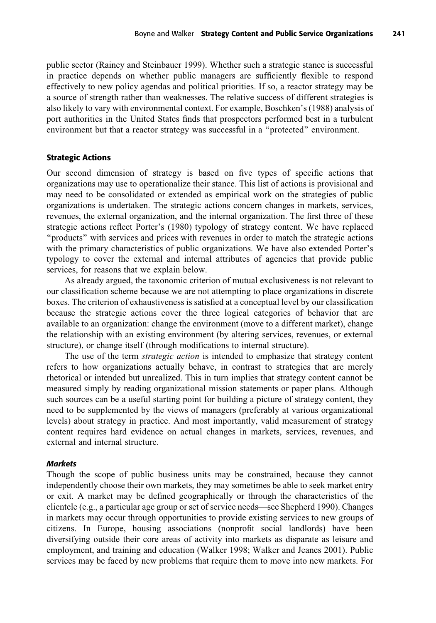public sector (Rainey and Steinbauer 1999). Whether such a strategic stance is successful in practice depends on whether public managers are sufficiently flexible to respond effectively to new policy agendas and political priorities. If so, a reactor strategy may be a source of strength rather than weaknesses. The relative success of different strategies is also likely to vary with environmental context. For example, Boschken's (1988) analysis of port authorities in the United States finds that prospectors performed best in a turbulent environment but that a reactor strategy was successful in a "protected" environment.

# Strategic Actions

Our second dimension of strategy is based on five types of specific actions that organizations may use to operationalize their stance. This list of actions is provisional and may need to be consolidated or extended as empirical work on the strategies of public organizations is undertaken. The strategic actions concern changes in markets, services, revenues, the external organization, and the internal organization. The first three of these strategic actions reflect Porter's (1980) typology of strategy content. We have replaced ''products'' with services and prices with revenues in order to match the strategic actions with the primary characteristics of public organizations. We have also extended Porter's typology to cover the external and internal attributes of agencies that provide public services, for reasons that we explain below.

As already argued, the taxonomic criterion of mutual exclusiveness is not relevant to our classification scheme because we are not attempting to place organizations in discrete boxes. The criterion of exhaustiveness is satisfied at a conceptual level by our classification because the strategic actions cover the three logical categories of behavior that are available to an organization: change the environment (move to a different market), change the relationship with an existing environment (by altering services, revenues, or external structure), or change itself (through modifications to internal structure).

The use of the term *strategic action* is intended to emphasize that strategy content refers to how organizations actually behave, in contrast to strategies that are merely rhetorical or intended but unrealized. This in turn implies that strategy content cannot be measured simply by reading organizational mission statements or paper plans. Although such sources can be a useful starting point for building a picture of strategy content, they need to be supplemented by the views of managers (preferably at various organizational levels) about strategy in practice. And most importantly, valid measurement of strategy content requires hard evidence on actual changes in markets, services, revenues, and external and internal structure.

### **Markets**

Though the scope of public business units may be constrained, because they cannot independently choose their own markets, they may sometimes be able to seek market entry or exit. A market may be defined geographically or through the characteristics of the clientele (e.g., a particular age group or set of service needs—see Shepherd 1990). Changes in markets may occur through opportunities to provide existing services to new groups of citizens. In Europe, housing associations (nonprofit social landlords) have been diversifying outside their core areas of activity into markets as disparate as leisure and employment, and training and education (Walker 1998; Walker and Jeanes 2001). Public services may be faced by new problems that require them to move into new markets. For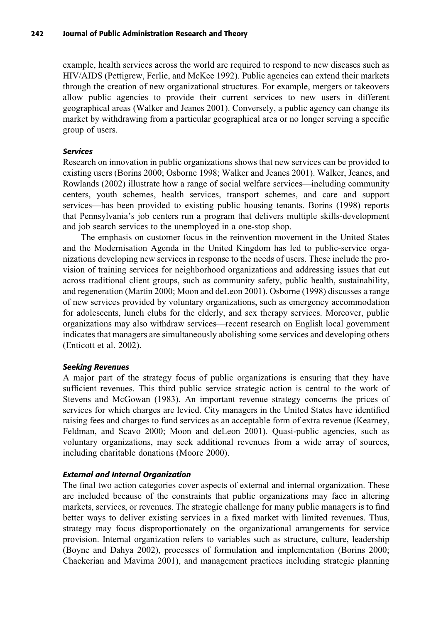example, health services across the world are required to respond to new diseases such as HIV/AIDS (Pettigrew, Ferlie, and McKee 1992). Public agencies can extend their markets through the creation of new organizational structures. For example, mergers or takeovers allow public agencies to provide their current services to new users in different geographical areas (Walker and Jeanes 2001). Conversely, a public agency can change its market by withdrawing from a particular geographical area or no longer serving a specific group of users.

# **Services**

Research on innovation in public organizations shows that new services can be provided to existing users (Borins 2000; Osborne 1998; Walker and Jeanes 2001). Walker, Jeanes, and Rowlands (2002) illustrate how a range of social welfare services—including community centers, youth schemes, health services, transport schemes, and care and support services—has been provided to existing public housing tenants. Borins (1998) reports that Pennsylvania's job centers run a program that delivers multiple skills-development and job search services to the unemployed in a one-stop shop.

The emphasis on customer focus in the reinvention movement in the United States and the Modernisation Agenda in the United Kingdom has led to public-service organizations developing new services in response to the needs of users. These include the provision of training services for neighborhood organizations and addressing issues that cut across traditional client groups, such as community safety, public health, sustainability, and regeneration (Martin 2000; Moon and deLeon 2001). Osborne (1998) discusses a range of new services provided by voluntary organizations, such as emergency accommodation for adolescents, lunch clubs for the elderly, and sex therapy services. Moreover, public organizations may also withdraw services—recent research on English local government indicates that managers are simultaneously abolishing some services and developing others (Enticott et al. 2002).

# Seeking Revenues

A major part of the strategy focus of public organizations is ensuring that they have sufficient revenues. This third public service strategic action is central to the work of Stevens and McGowan (1983). An important revenue strategy concerns the prices of services for which charges are levied. City managers in the United States have identified raising fees and charges to fund services as an acceptable form of extra revenue (Kearney, Feldman, and Scavo 2000; Moon and deLeon 2001). Quasi-public agencies, such as voluntary organizations, may seek additional revenues from a wide array of sources, including charitable donations (Moore 2000).

# External and Internal Organization

The final two action categories cover aspects of external and internal organization. These are included because of the constraints that public organizations may face in altering markets, services, or revenues. The strategic challenge for many public managers is to find better ways to deliver existing services in a fixed market with limited revenues. Thus, strategy may focus disproportionately on the organizational arrangements for service provision. Internal organization refers to variables such as structure, culture, leadership (Boyne and Dahya 2002), processes of formulation and implementation (Borins 2000; Chackerian and Mavima 2001), and management practices including strategic planning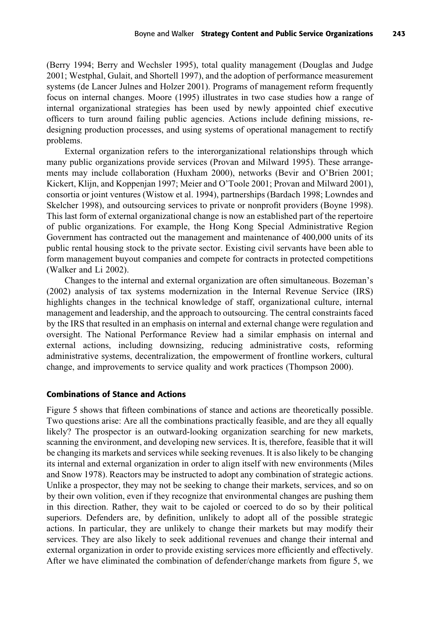(Berry 1994; Berry and Wechsler 1995), total quality management (Douglas and Judge 2001; Westphal, Gulait, and Shortell 1997), and the adoption of performance measurement systems (de Lancer Julnes and Holzer 2001). Programs of management reform frequently focus on internal changes. Moore (1995) illustrates in two case studies how a range of internal organizational strategies has been used by newly appointed chief executive officers to turn around failing public agencies. Actions include defining missions, redesigning production processes, and using systems of operational management to rectify problems.

External organization refers to the interorganizational relationships through which many public organizations provide services (Provan and Milward 1995). These arrangements may include collaboration (Huxham 2000), networks (Bevir and O'Brien 2001; Kickert, Klijn, and Koppenjan 1997; Meier and O'Toole 2001; Provan and Milward 2001), consortia or joint ventures (Wistow et al. 1994), partnerships (Bardach 1998; Lowndes and Skelcher 1998), and outsourcing services to private or nonprofit providers (Boyne 1998). This last form of external organizational change is now an established part of the repertoire of public organizations. For example, the Hong Kong Special Administrative Region Government has contracted out the management and maintenance of 400,000 units of its public rental housing stock to the private sector. Existing civil servants have been able to form management buyout companies and compete for contracts in protected competitions (Walker and Li 2002).

Changes to the internal and external organization are often simultaneous. Bozeman's (2002) analysis of tax systems modernization in the Internal Revenue Service (IRS) highlights changes in the technical knowledge of staff, organizational culture, internal management and leadership, and the approach to outsourcing. The central constraints faced by the IRS that resulted in an emphasis on internal and external change were regulation and oversight. The National Performance Review had a similar emphasis on internal and external actions, including downsizing, reducing administrative costs, reforming administrative systems, decentralization, the empowerment of frontline workers, cultural change, and improvements to service quality and work practices (Thompson 2000).

#### Combinations of Stance and Actions

Figure 5 shows that fifteen combinations of stance and actions are theoretically possible. Two questions arise: Are all the combinations practically feasible, and are they all equally likely? The prospector is an outward-looking organization searching for new markets, scanning the environment, and developing new services. It is, therefore, feasible that it will be changing its markets and services while seeking revenues. It is also likely to be changing its internal and external organization in order to align itself with new environments (Miles and Snow 1978). Reactors may be instructed to adopt any combination of strategic actions. Unlike a prospector, they may not be seeking to change their markets, services, and so on by their own volition, even if they recognize that environmental changes are pushing them in this direction. Rather, they wait to be cajoled or coerced to do so by their political superiors. Defenders are, by definition, unlikely to adopt all of the possible strategic actions. In particular, they are unlikely to change their markets but may modify their services. They are also likely to seek additional revenues and change their internal and external organization in order to provide existing services more efficiently and effectively. After we have eliminated the combination of defender/change markets from figure 5, we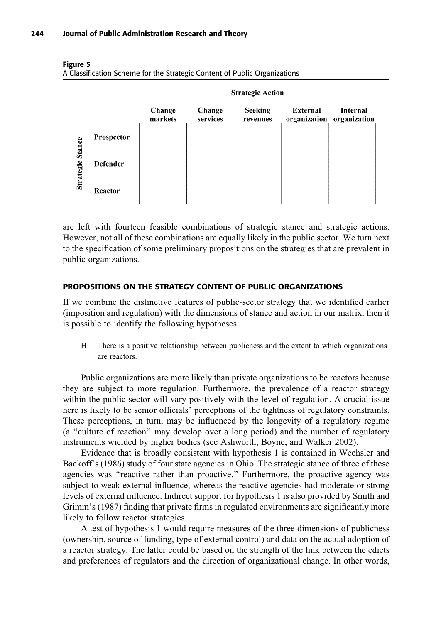|                            |                 | <b>Strategic Action</b> |                    |                            |          |                                       |  |
|----------------------------|-----------------|-------------------------|--------------------|----------------------------|----------|---------------------------------------|--|
|                            |                 | Change<br>markets       | Change<br>services | <b>Seeking</b><br>revenues | External | Internal<br>organization organization |  |
| <b>Stance</b><br>Strategic | Prospector      |                         |                    |                            |          |                                       |  |
|                            | <b>Defender</b> |                         |                    |                            |          |                                       |  |
|                            | Reactor         |                         |                    |                            |          |                                       |  |

#### Figure 5 A Classification Scheme for the Strategic Content of Public Organizations

are left with fourteen feasible combinations of strategic stance and strategic actions. However, not all of these combinations are equally likely in the public sector. We turn next to the specification of some preliminary propositions on the strategies that are prevalent in public organizations.

# PROPOSITIONS ON THE STRATEGY CONTENT OF PUBLIC ORGANIZATIONS

If we combine the distinctive features of public-sector strategy that we identified earlier (imposition and regulation) with the dimensions of stance and action in our matrix, then it is possible to identify the following hypotheses.

 $H_1$  There is a positive relationship between publicness and the extent to which organizations are reactors.

Public organizations are more likely than private organizations to be reactors because they are subject to more regulation. Furthermore, the prevalence of a reactor strategy within the public sector will vary positively with the level of regulation. A crucial issue here is likely to be senior officials' perceptions of the tightness of regulatory constraints. These perceptions, in turn, may be influenced by the longevity of a regulatory regime (a ''culture of reaction'' may develop over a long period) and the number of regulatory instruments wielded by higher bodies (see Ashworth, Boyne, and Walker 2002).

Evidence that is broadly consistent with hypothesis 1 is contained in Wechsler and Backoff's (1986) study of four state agencies in Ohio. The strategic stance of three of these agencies was ''reactive rather than proactive.'' Furthermore, the proactive agency was subject to weak external influence, whereas the reactive agencies had moderate or strong levels of external influence. Indirect support for hypothesis 1 is also provided by Smith and Grimm's (1987) finding that private firms in regulated environments are significantly more likely to follow reactor strategies.

A test of hypothesis 1 would require measures of the three dimensions of publicness (ownership, source of funding, type of external control) and data on the actual adoption of a reactor strategy. The latter could be based on the strength of the link between the edicts and preferences of regulators and the direction of organizational change. In other words,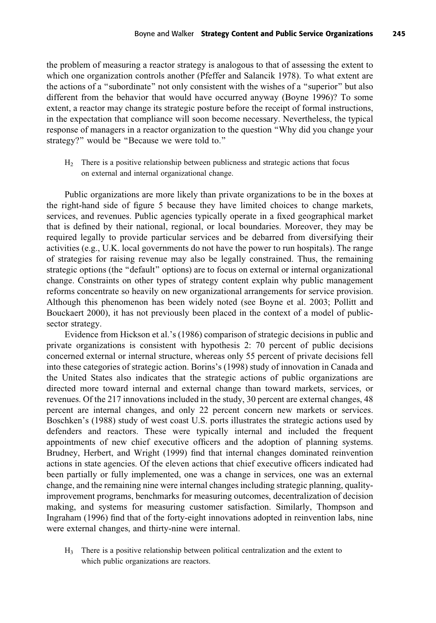the problem of measuring a reactor strategy is analogous to that of assessing the extent to which one organization controls another (Pfeffer and Salancik 1978). To what extent are the actions of a ''subordinate'' not only consistent with the wishes of a ''superior'' but also different from the behavior that would have occurred anyway (Boyne 1996)? To some extent, a reactor may change its strategic posture before the receipt of formal instructions, in the expectation that compliance will soon become necessary. Nevertheless, the typical response of managers in a reactor organization to the question ''Why did you change your strategy?" would be "Because we were told to."

 $H<sub>2</sub>$  There is a positive relationship between publicness and strategic actions that focus on external and internal organizational change.

Public organizations are more likely than private organizations to be in the boxes at the right-hand side of figure 5 because they have limited choices to change markets, services, and revenues. Public agencies typically operate in a fixed geographical market that is defined by their national, regional, or local boundaries. Moreover, they may be required legally to provide particular services and be debarred from diversifying their activities (e.g., U.K. local governments do not have the power to run hospitals). The range of strategies for raising revenue may also be legally constrained. Thus, the remaining strategic options (the "default" options) are to focus on external or internal organizational change. Constraints on other types of strategy content explain why public management reforms concentrate so heavily on new organizational arrangements for service provision. Although this phenomenon has been widely noted (see Boyne et al. 2003; Pollitt and Bouckaert 2000), it has not previously been placed in the context of a model of publicsector strategy.

Evidence from Hickson et al.'s (1986) comparison of strategic decisions in public and private organizations is consistent with hypothesis 2: 70 percent of public decisions concerned external or internal structure, whereas only 55 percent of private decisions fell into these categories of strategic action. Borins's (1998) study of innovation in Canada and the United States also indicates that the strategic actions of public organizations are directed more toward internal and external change than toward markets, services, or revenues. Of the 217 innovations included in the study, 30 percent are external changes, 48 percent are internal changes, and only 22 percent concern new markets or services. Boschken's (1988) study of west coast U.S. ports illustrates the strategic actions used by defenders and reactors. These were typically internal and included the frequent appointments of new chief executive officers and the adoption of planning systems. Brudney, Herbert, and Wright (1999) find that internal changes dominated reinvention actions in state agencies. Of the eleven actions that chief executive officers indicated had been partially or fully implemented, one was a change in services, one was an external change, and the remaining nine were internal changes including strategic planning, qualityimprovement programs, benchmarks for measuring outcomes, decentralization of decision making, and systems for measuring customer satisfaction. Similarly, Thompson and Ingraham (1996) find that of the forty-eight innovations adopted in reinvention labs, nine were external changes, and thirty-nine were internal.

H3 There is a positive relationship between political centralization and the extent to which public organizations are reactors.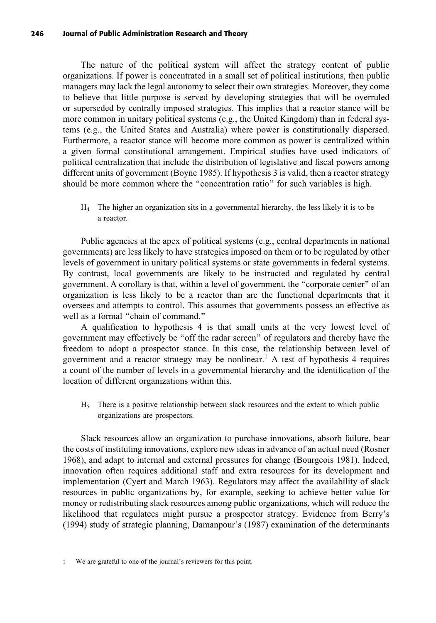The nature of the political system will affect the strategy content of public organizations. If power is concentrated in a small set of political institutions, then public managers may lack the legal autonomy to select their own strategies. Moreover, they come to believe that little purpose is served by developing strategies that will be overruled or superseded by centrally imposed strategies. This implies that a reactor stance will be more common in unitary political systems (e.g., the United Kingdom) than in federal systems (e.g., the United States and Australia) where power is constitutionally dispersed. Furthermore, a reactor stance will become more common as power is centralized within a given formal constitutional arrangement. Empirical studies have used indicators of political centralization that include the distribution of legislative and fiscal powers among different units of government (Boyne 1985). If hypothesis 3 is valid, then a reactor strategy should be more common where the ''concentration ratio'' for such variables is high.

 $H_4$  The higher an organization sits in a governmental hierarchy, the less likely it is to be a reactor.

Public agencies at the apex of political systems (e.g., central departments in national governments) are less likely to have strategies imposed on them or to be regulated by other levels of government in unitary political systems or state governments in federal systems. By contrast, local governments are likely to be instructed and regulated by central government. A corollary is that, within a level of government, the ''corporate center'' of an organization is less likely to be a reactor than are the functional departments that it oversees and attempts to control. This assumes that governments possess an effective as well as a formal "chain of command."

A qualification to hypothesis 4 is that small units at the very lowest level of government may effectively be ''off the radar screen'' of regulators and thereby have the freedom to adopt a prospector stance. In this case, the relationship between level of government and a reactor strategy may be nonlinear.<sup>1</sup> A test of hypothesis 4 requires a count of the number of levels in a governmental hierarchy and the identification of the location of different organizations within this.

 $H<sub>5</sub>$  There is a positive relationship between slack resources and the extent to which public organizations are prospectors.

Slack resources allow an organization to purchase innovations, absorb failure, bear the costs of instituting innovations, explore new ideas in advance of an actual need (Rosner 1968), and adapt to internal and external pressures for change (Bourgeois 1981). Indeed, innovation often requires additional staff and extra resources for its development and implementation (Cyert and March 1963). Regulators may affect the availability of slack resources in public organizations by, for example, seeking to achieve better value for money or redistributing slack resources among public organizations, which will reduce the likelihood that regulatees might pursue a prospector strategy. Evidence from Berry's (1994) study of strategic planning, Damanpour's (1987) examination of the determinants

<sup>1</sup> We are grateful to one of the journal's reviewers for this point.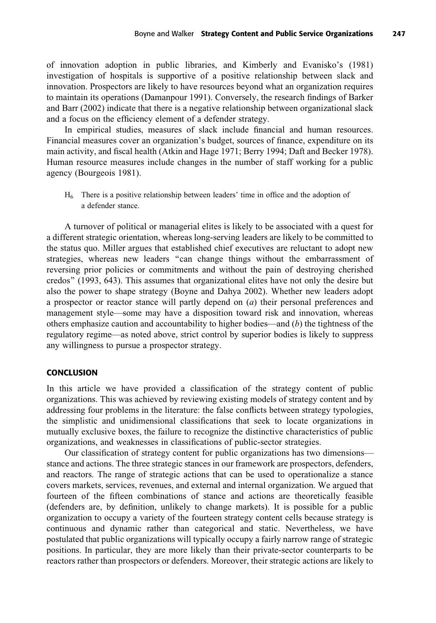of innovation adoption in public libraries, and Kimberly and Evanisko's (1981) investigation of hospitals is supportive of a positive relationship between slack and innovation. Prospectors are likely to have resources beyond what an organization requires to maintain its operations (Damanpour 1991). Conversely, the research findings of Barker and Barr (2002) indicate that there is a negative relationship between organizational slack and a focus on the efficiency element of a defender strategy.

In empirical studies, measures of slack include financial and human resources. Financial measures cover an organization's budget, sources of finance, expenditure on its main activity, and fiscal health (Atkin and Hage 1971; Berry 1994; Daft and Becker 1978). Human resource measures include changes in the number of staff working for a public agency (Bourgeois 1981).

H6 There is a positive relationship between leaders' time in office and the adoption of a defender stance.

A turnover of political or managerial elites is likely to be associated with a quest for a different strategic orientation, whereas long-serving leaders are likely to be committed to the status quo. Miller argues that established chief executives are reluctant to adopt new strategies, whereas new leaders ''can change things without the embarrassment of reversing prior policies or commitments and without the pain of destroying cherished credos'' (1993, 643). This assumes that organizational elites have not only the desire but also the power to shape strategy (Boyne and Dahya 2002). Whether new leaders adopt a prospector or reactor stance will partly depend on  $(a)$  their personal preferences and management style—some may have a disposition toward risk and innovation, whereas others emphasize caution and accountability to higher bodies—and  $(b)$  the tightness of the regulatory regime—as noted above, strict control by superior bodies is likely to suppress any willingness to pursue a prospector strategy.

#### **CONCLUSION**

In this article we have provided a classification of the strategy content of public organizations. This was achieved by reviewing existing models of strategy content and by addressing four problems in the literature: the false conflicts between strategy typologies, the simplistic and unidimensional classifications that seek to locate organizations in mutually exclusive boxes, the failure to recognize the distinctive characteristics of public organizations, and weaknesses in classifications of public-sector strategies.

Our classification of strategy content for public organizations has two dimensions stance and actions. The three strategic stances in our framework are prospectors, defenders, and reactors. The range of strategic actions that can be used to operationalize a stance covers markets, services, revenues, and external and internal organization. We argued that fourteen of the fifteen combinations of stance and actions are theoretically feasible (defenders are, by definition, unlikely to change markets). It is possible for a public organization to occupy a variety of the fourteen strategy content cells because strategy is continuous and dynamic rather than categorical and static. Nevertheless, we have postulated that public organizations will typically occupy a fairly narrow range of strategic positions. In particular, they are more likely than their private-sector counterparts to be reactors rather than prospectors or defenders. Moreover, their strategic actions are likely to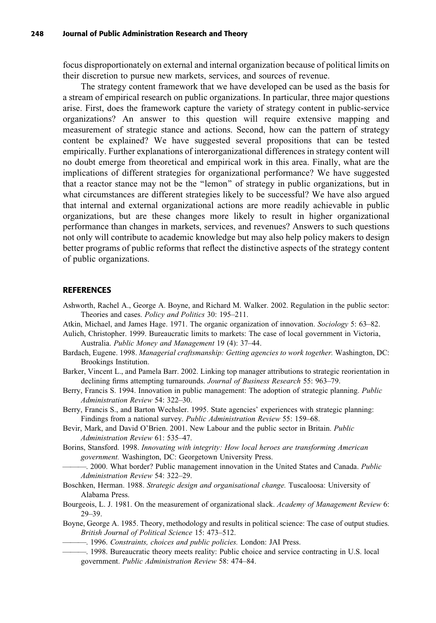focus disproportionately on external and internal organization because of political limits on their discretion to pursue new markets, services, and sources of revenue.

The strategy content framework that we have developed can be used as the basis for a stream of empirical research on public organizations. In particular, three major questions arise. First, does the framework capture the variety of strategy content in public-service organizations? An answer to this question will require extensive mapping and measurement of strategic stance and actions. Second, how can the pattern of strategy content be explained? We have suggested several propositions that can be tested empirically. Further explanations of interorganizational differences in strategy content will no doubt emerge from theoretical and empirical work in this area. Finally, what are the implications of different strategies for organizational performance? We have suggested that a reactor stance may not be the ''lemon'' of strategy in public organizations, but in what circumstances are different strategies likely to be successful? We have also argued that internal and external organizational actions are more readily achievable in public organizations, but are these changes more likely to result in higher organizational performance than changes in markets, services, and revenues? Answers to such questions not only will contribute to academic knowledge but may also help policy makers to design better programs of public reforms that reflect the distinctive aspects of the strategy content of public organizations.

#### REFERENCES

- Ashworth, Rachel A., George A. Boyne, and Richard M. Walker. 2002. Regulation in the public sector: Theories and cases. Policy and Politics 30: 195–211.
- Atkin, Michael, and James Hage. 1971. The organic organization of innovation. Sociology 5: 63–82.
- Aulich, Christopher. 1999. Bureaucratic limits to markets: The case of local government in Victoria, Australia. Public Money and Management 19 (4): 37–44.
- Bardach, Eugene. 1998. Managerial craftsmanship: Getting agencies to work together. Washington, DC: Brookings Institution.
- Barker, Vincent L., and Pamela Barr. 2002. Linking top manager attributions to strategic reorientation in declining firms attempting turnarounds. Journal of Business Research 55: 963–79.
- Berry, Francis S. 1994. Innovation in public management: The adoption of strategic planning. Public Administration Review 54: 322–30.
- Berry, Francis S., and Barton Wechsler. 1995. State agencies' experiences with strategic planning: Findings from a national survey. Public Administration Review 55: 159-68.
- Bevir, Mark, and David O'Brien. 2001. New Labour and the public sector in Britain. Public Administration Review 61: 535–47.
- Borins, Stansford. 1998. Innovating with integrity: How local heroes are transforming American government. Washington, DC: Georgetown University Press.
	- -. 2000. What border? Public management innovation in the United States and Canada. Public Administration Review 54: 322–29.
- Boschken, Herman. 1988. Strategic design and organisational change. Tuscaloosa: University of Alabama Press.
- Bourgeois, L. J. 1981. On the measurement of organizational slack. Academy of Management Review 6: 29–39.
- Boyne, George A. 1985. Theory, methodology and results in political science: The case of output studies. British Journal of Political Science 15: 473–512.
	- 1996. Constraints, choices and public policies. London: JAI Press.
- ———. 1998. Bureaucratic theory meets reality: Public choice and service contracting in U.S. local government. Public Administration Review 58: 474–84.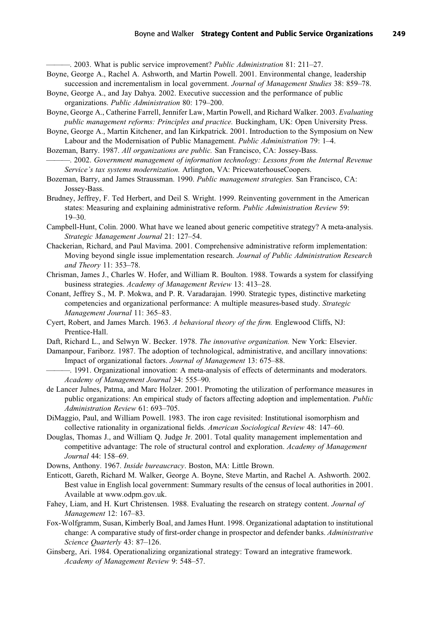- 2003. What is public service improvement? Public Administration 81: 211–27. Boyne, George A., Rachel A. Ashworth, and Martin Powell. 2001. Environmental change, leadership

- succession and incrementalism in local government. Journal of Management Studies 38: 859-78.
- Boyne, George A., and Jay Dahya. 2002. Executive succession and the performance of public organizations. Public Administration 80: 179–200.
- Boyne, George A., Catherine Farrell, Jennifer Law, Martin Powell, and Richard Walker. 2003. Evaluating public management reforms: Principles and practice. Buckingham, UK: Open University Press.
- Boyne, George A., Martin Kitchener, and Ian Kirkpatrick. 2001. Introduction to the Symposium on New Labour and the Modernisation of Public Management. Public Administration 79: 1–4.
- Bozeman, Barry. 1987. All organizations are public. San Francisco, CA: Jossey-Bass.
- ———. 2002. Government management of information technology: Lessons from the Internal Revenue Service's tax systems modernization. Arlington, VA: PricewaterhouseCoopers.
- Bozeman, Barry, and James Straussman. 1990. Public management strategies. San Francisco, CA: Jossey-Bass.
- Brudney, Jeffrey, F. Ted Herbert, and Deil S. Wright. 1999. Reinventing government in the American states: Measuring and explaining administrative reform. Public Administration Review 59: 19–30.
- Campbell-Hunt, Colin. 2000. What have we leaned about generic competitive strategy? A meta-analysis. Strategic Management Journal 21: 127–54.
- Chackerian, Richard, and Paul Mavima. 2001. Comprehensive administrative reform implementation: Moving beyond single issue implementation research. Journal of Public Administration Research and Theory 11: 353–78.
- Chrisman, James J., Charles W. Hofer, and William R. Boulton. 1988. Towards a system for classifying business strategies. Academy of Management Review 13: 413–28.
- Conant, Jeffrey S., M. P. Mokwa, and P. R. Varadarajan. 1990. Strategic types, distinctive marketing competencies and organizational performance: A multiple measures-based study. *Strategic* Management Journal 11: 365–83.
- Cyert, Robert, and James March. 1963. A behavioral theory of the firm. Englewood Cliffs, NJ: Prentice-Hall.
- Daft, Richard L., and Selwyn W. Becker. 1978. The innovative organization. New York: Elsevier.
- Damanpour, Fariborz. 1987. The adoption of technological, administrative, and ancillary innovations: Impact of organizational factors. Journal of Management 13: 675–88.
- ———. 1991. Organizational innovation: A meta-analysis of effects of determinants and moderators. Academy of Management Journal 34: 555–90.
- de Lancer Julnes, Patma, and Marc Holzer. 2001. Promoting the utilization of performance measures in public organizations: An empirical study of factors affecting adoption and implementation. Public Administration Review 61: 693–705.
- DiMaggio, Paul, and William Powell. 1983. The iron cage revisited: Institutional isomorphism and collective rationality in organizational fields. American Sociological Review 48: 147–60.
- Douglas, Thomas J., and William Q. Judge Jr. 2001. Total quality management implementation and competitive advantage: The role of structural control and exploration. Academy of Management Journal 44: 158–69.
- Downs, Anthony. 1967. Inside bureaucracy. Boston, MA: Little Brown.
- Enticott, Gareth, Richard M. Walker, George A. Boyne, Steve Martin, and Rachel A. Ashworth. 2002. Best value in English local government: Summary results of the census of local authorities in 2001. Available at www.odpm.gov.uk.
- Fahey, Liam, and H. Kurt Christensen. 1988. Evaluating the research on strategy content. Journal of Management 12: 167–83.
- Fox-Wolfgramm, Susan, Kimberly Boal, and James Hunt. 1998. Organizational adaptation to institutional change: A comparative study of first-order change in prospector and defender banks. Administrative Science Quarterly 43: 87–126.
- Ginsberg, Ari. 1984. Operationalizing organizational strategy: Toward an integrative framework. Academy of Management Review 9: 548–57.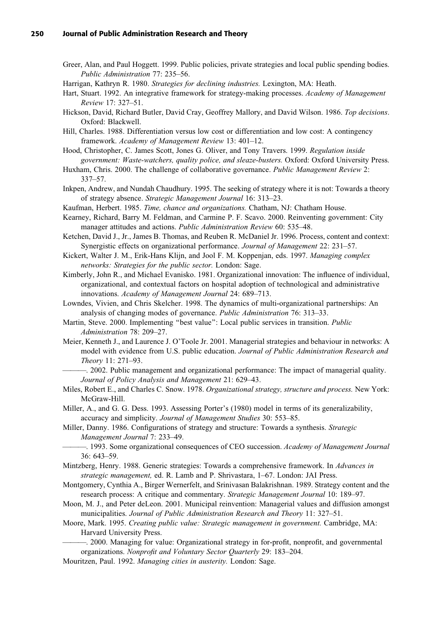- Greer, Alan, and Paul Hoggett. 1999. Public policies, private strategies and local public spending bodies. Public Administration 77: 235–56.
- Harrigan, Kathryn R. 1980. Strategies for declining industries. Lexington, MA: Heath.
- Hart, Stuart. 1992. An integrative framework for strategy-making processes. Academy of Management Review 17: 327–51.
- Hickson, David, Richard Butler, David Cray, Geoffrey Mallory, and David Wilson. 1986. Top decisions. Oxford: Blackwell.
- Hill, Charles. 1988. Differentiation versus low cost or differentiation and low cost: A contingency framework. Academy of Management Review 13: 401–12.
- Hood, Christopher, C. James Scott, Jones G. Oliver, and Tony Travers. 1999. Regulation inside government: Waste-watchers, quality police, and sleaze-busters. Oxford: Oxford University Press.
- Huxham, Chris. 2000. The challenge of collaborative governance. Public Management Review 2: 337–57.
- Inkpen, Andrew, and Nundah Chaudhury. 1995. The seeking of strategy where it is not: Towards a theory of strategy absence. Strategic Management Journal 16: 313–23.
- Kaufman, Herbert. 1985. Time, chance and organizations. Chatham, NJ: Chatham House.
- Kearney, Richard, Barry M. Feldman, and Carmine P. F. Scavo. 2000. Reinventing government: City manager attitudes and actions. Public Administration Review 60: 535–48.
- Ketchen, David J., Jr., James B. Thomas, and Reuben R. McDaniel Jr. 1996. Process, content and context: Synergistic effects on organizational performance. Journal of Management 22: 231–57.
- Kickert, Walter J. M., Erik-Hans Klijn, and Jool F. M. Koppenjan, eds. 1997. Managing complex networks: Strategies for the public sector. London: Sage.
- Kimberly, John R., and Michael Evanisko. 1981. Organizational innovation: The influence of individual, organizational, and contextual factors on hospital adoption of technological and administrative innovations. Academy of Management Journal 24: 689–713.
- Lowndes, Vivien, and Chris Skelcher. 1998. The dynamics of multi-organizational partnerships: An analysis of changing modes of governance. Public Administration 76: 313–33.
- Martin, Steve. 2000. Implementing "best value": Local public services in transition. Public Administration 78: 209–27.
- Meier, Kenneth J., and Laurence J. O'Toole Jr. 2001. Managerial strategies and behaviour in networks: A model with evidence from U.S. public education. Journal of Public Administration Research and Theory 11: 271–93.
	- ———. 2002. Public management and organizational performance: The impact of managerial quality. Journal of Policy Analysis and Management 21: 629–43.
- Miles, Robert E., and Charles C. Snow. 1978. Organizational strategy, structure and process. New York: McGraw-Hill.
- Miller, A., and G. G. Dess. 1993. Assessing Porter's (1980) model in terms of its generalizability, accuracy and simplicity. Journal of Management Studies 30: 553–85.
- Miller, Danny. 1986. Configurations of strategy and structure: Towards a synthesis. Strategic Management Journal 7: 233–49.
- 1993. Some organizational consequences of CEO succession. Academy of Management Journal 36: 643–59.
- Mintzberg, Henry. 1988. Generic strategies: Towards a comprehensive framework. In Advances in strategic management, ed. R. Lamb and P. Shrivastara, 1–67. London: JAI Press.
- Montgomery, Cynthia A., Birger Wernerfelt, and Srinivasan Balakrishnan. 1989. Strategy content and the research process: A critique and commentary. Strategic Management Journal 10: 189–97.
- Moon, M. J., and Peter deLeon. 2001. Municipal reinvention: Managerial values and diffusion amongst municipalities. Journal of Public Administration Research and Theory 11: 327–51.
- Moore, Mark. 1995. Creating public value: Strategic management in government. Cambridge, MA: Harvard University Press.
	- ———. 2000. Managing for value: Organizational strategy in for-profit, nonprofit, and governmental organizations. Nonprofit and Voluntary Sector Quarterly 29: 183–204.
- Mouritzen, Paul. 1992. Managing cities in austerity. London: Sage.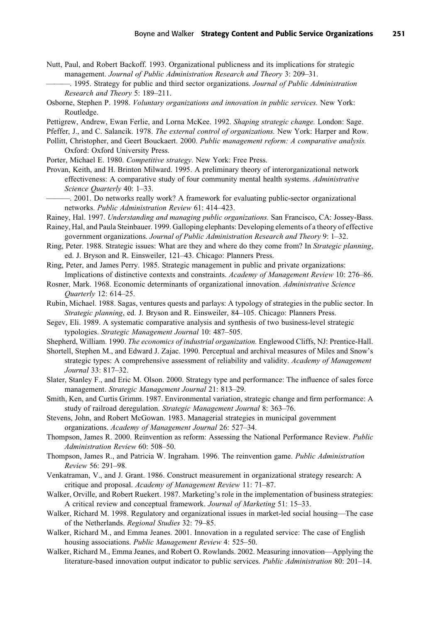- Nutt, Paul, and Robert Backoff. 1993. Organizational publicness and its implications for strategic management. Journal of Public Administration Research and Theory 3: 209–31.
	- ———. 1995. Strategy for public and third sector organizations. Journal of Public Administration Research and Theory 5: 189–211.
- Osborne, Stephen P. 1998. Voluntary organizations and innovation in public services. New York: Routledge.
- Pettigrew, Andrew, Ewan Ferlie, and Lorna McKee. 1992. Shaping strategic change. London: Sage.
- Pfeffer, J., and C. Salancik. 1978. The external control of organizations. New York: Harper and Row.
- Pollitt, Christopher, and Geert Bouckaert. 2000. Public management reform: A comparative analysis. Oxford: Oxford University Press.
- Porter, Michael E. 1980. Competitive strategy. New York: Free Press.
- Provan, Keith, and H. Brinton Milward. 1995. A preliminary theory of interorganizational network effectiveness: A comparative study of four community mental health systems. Administrative Science Quarterly 40: 1–33.
- ———. 2001. Do networks really work? A framework for evaluating public-sector organizational networks. Public Administration Review 61: 414–423.
- Rainey, Hal. 1997. Understanding and managing public organizations. San Francisco, CA: Jossey-Bass.
- Rainey, Hal, and Paula Steinbauer. 1999. Galloping elephants: Developing elements of a theory of effective government organizations. Journal of Public Administration Research and Theory 9: 1–32.
- Ring, Peter. 1988. Strategic issues: What are they and where do they come from? In Strategic planning, ed. J. Bryson and R. Einsweiler, 121–43. Chicago: Planners Press.
- Ring, Peter, and James Perry. 1985. Strategic management in public and private organizations: Implications of distinctive contexts and constraints. Academy of Management Review 10: 276–86.
- Rosner, Mark. 1968. Economic determinants of organizational innovation. Administrative Science Quarterly 12: 614–25.
- Rubin, Michael. 1988. Sagas, ventures quests and parlays: A typology of strategies in the public sector. In Strategic planning, ed. J. Bryson and R. Einsweiler, 84–105. Chicago: Planners Press.
- Segev, Eli. 1989. A systematic comparative analysis and synthesis of two business-level strategic typologies. Strategic Management Journal 10: 487–505.
- Shepherd, William. 1990. The economics of industrial organization. Englewood Cliffs, NJ: Prentice-Hall.
- Shortell, Stephen M., and Edward J. Zajac. 1990. Perceptual and archival measures of Miles and Snow's strategic types: A comprehensive assessment of reliability and validity. Academy of Management Journal 33: 817–32.
- Slater, Stanley F., and Eric M. Olson. 2000. Strategy type and performance: The influence of sales force management. Strategic Management Journal 21: 813–29.
- Smith, Ken, and Curtis Grimm. 1987. Environmental variation, strategic change and firm performance: A study of railroad deregulation. Strategic Management Journal 8: 363–76.
- Stevens, John, and Robert McGowan. 1983. Managerial strategies in municipal government organizations. Academy of Management Journal 26: 527–34.
- Thompson, James R. 2000. Reinvention as reform: Assessing the National Performance Review. Public Administration Review 60: 508–50.
- Thompson, James R., and Patricia W. Ingraham. 1996. The reinvention game. Public Administration Review 56: 291–98.
- Venkatraman, V., and J. Grant. 1986. Construct measurement in organizational strategy research: A critique and proposal. Academy of Management Review 11: 71–87.
- Walker, Orville, and Robert Ruekert. 1987. Marketing's role in the implementation of business strategies: A critical review and conceptual framework. Journal of Marketing 51: 15–33.
- Walker, Richard M. 1998. Regulatory and organizational issues in market-led social housing—The case of the Netherlands. Regional Studies 32: 79–85.
- Walker, Richard M., and Emma Jeanes. 2001. Innovation in a regulated service: The case of English housing associations. *Public Management Review* 4: 525–50.
- Walker, Richard M., Emma Jeanes, and Robert O. Rowlands. 2002. Measuring innovation—Applying the literature-based innovation output indicator to public services. Public Administration 80: 201–14.